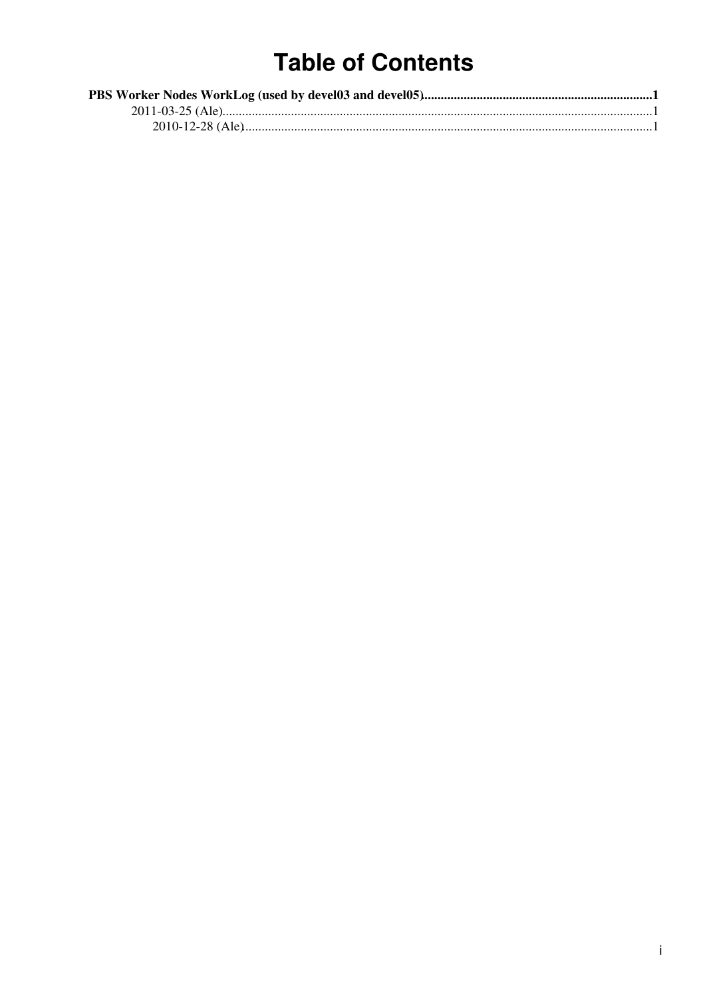## **Table of Contents**